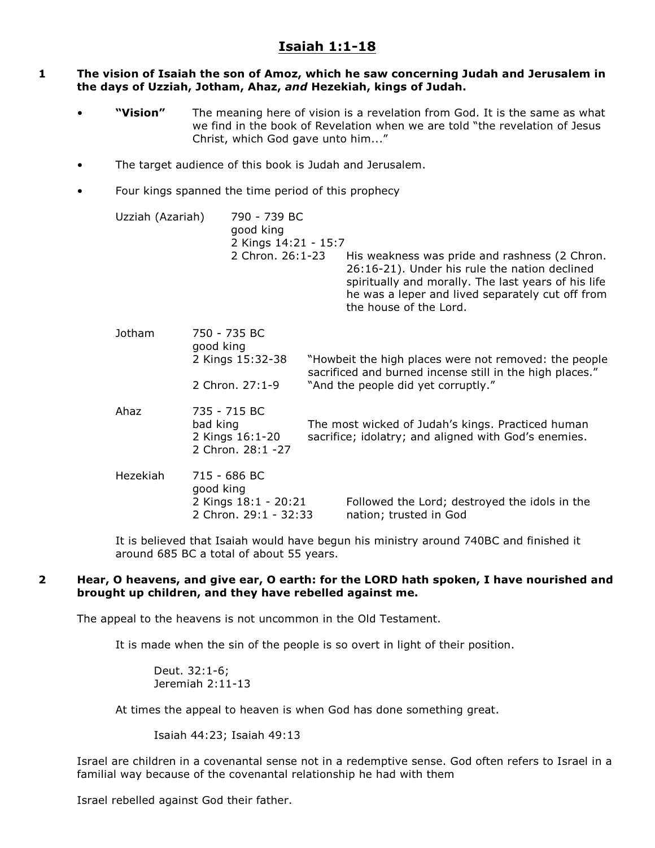# **Isaiah 1:1-18**

## **1 The vision of Isaiah the son of Amoz, which he saw concerning Judah and Jerusalem in the days of Uzziah, Jotham, Ahaz,** *and* **Hezekiah, kings of Judah.**

- **"Vision"** The meaning here of vision is a revelation from God. It is the same as what we find in the book of Revelation when we are told "the revelation of Jesus Christ, which God gave unto him..."
- The target audience of this book is Judah and Jerusalem.
- Four kings spanned the time period of this prophecy

| Uzziah (Azariah) |                                                                  | 790 - 739 BC<br>good king<br>2 Kings 14:21 - 15:7<br>2 Chron. 26:1-23 |                                                                                                                                                          | His weakness was pride and rashness (2 Chron.<br>26:16-21). Under his rule the nation declined<br>spiritually and morally. The last years of his life<br>he was a leper and lived separately cut off from<br>the house of the Lord. |
|------------------|------------------------------------------------------------------|-----------------------------------------------------------------------|----------------------------------------------------------------------------------------------------------------------------------------------------------|-------------------------------------------------------------------------------------------------------------------------------------------------------------------------------------------------------------------------------------|
| Jotham           | 750 - 735 BC<br>good king<br>2 Kings 15:32-38<br>2 Chron. 27:1-9 |                                                                       | "Howbeit the high places were not removed: the people<br>sacrificed and burned incense still in the high places."<br>"And the people did yet corruptly." |                                                                                                                                                                                                                                     |
| Ahaz             | 735 - 715 BC<br>bad king<br>2 Kings 16:1-20<br>2 Chron. 28:1 -27 |                                                                       | The most wicked of Judah's kings. Practiced human<br>sacrifice; idolatry; and aligned with God's enemies.                                                |                                                                                                                                                                                                                                     |
| Hezekiah         | 715 - 686 BC<br>good king                                        | 2 Kings 18:1 - 20:21<br>2 Chron. 29:1 - 32:33                         |                                                                                                                                                          | Followed the Lord; destroyed the idols in the<br>nation; trusted in God                                                                                                                                                             |

It is believed that Isaiah would have begun his ministry around 740BC and finished it around 685 BC a total of about 55 years.

## **2 Hear, O heavens, and give ear, O earth: for the LORD hath spoken, I have nourished and brought up children, and they have rebelled against me.**

The appeal to the heavens is not uncommon in the Old Testament.

It is made when the sin of the people is so overt in light of their position.

Deut. 32:1-6; Jeremiah 2:11-13

At times the appeal to heaven is when God has done something great.

Isaiah 44:23; Isaiah 49:13

Israel are children in a covenantal sense not in a redemptive sense. God often refers to Israel in a familial way because of the covenantal relationship he had with them

Israel rebelled against God their father.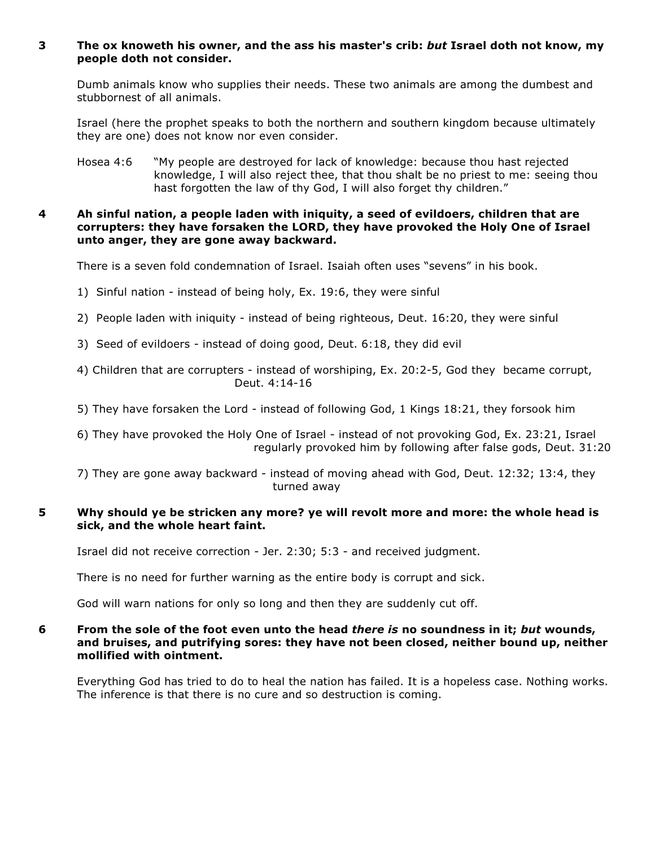# **3 The ox knoweth his owner, and the ass his master's crib:** *but* **Israel doth not know, my people doth not consider.**

Dumb animals know who supplies their needs. These two animals are among the dumbest and stubbornest of all animals.

Israel (here the prophet speaks to both the northern and southern kingdom because ultimately they are one) does not know nor even consider.

Hosea 4:6 "My people are destroyed for lack of knowledge: because thou hast rejected knowledge, I will also reject thee, that thou shalt be no priest to me: seeing thou hast forgotten the law of thy God, I will also forget thy children."

## **4 Ah sinful nation, a people laden with iniquity, a seed of evildoers, children that are corrupters: they have forsaken the LORD, they have provoked the Holy One of Israel unto anger, they are gone away backward.**

There is a seven fold condemnation of Israel. Isaiah often uses "sevens" in his book.

- 1) Sinful nation instead of being holy, Ex. 19:6, they were sinful
- 2) People laden with iniquity instead of being righteous, Deut. 16:20, they were sinful
- 3) Seed of evildoers instead of doing good, Deut. 6:18, they did evil
- 4) Children that are corrupters instead of worshiping, Ex. 20:2-5, God they became corrupt, Deut. 4:14-16
- 5) They have forsaken the Lord instead of following God, 1 Kings 18:21, they forsook him

6) They have provoked the Holy One of Israel - instead of not provoking God, Ex. 23:21, Israel regularly provoked him by following after false gods, Deut. 31:20

7) They are gone away backward - instead of moving ahead with God, Deut. 12:32; 13:4, they turned away

# **5 Why should ye be stricken any more? ye will revolt more and more: the whole head is sick, and the whole heart faint.**

Israel did not receive correction - Jer. 2:30; 5:3 - and received judgment.

There is no need for further warning as the entire body is corrupt and sick.

God will warn nations for only so long and then they are suddenly cut off.

## **6 From the sole of the foot even unto the head** *there is* **no soundness in it;** *but* **wounds, and bruises, and putrifying sores: they have not been closed, neither bound up, neither mollified with ointment.**

Everything God has tried to do to heal the nation has failed. It is a hopeless case. Nothing works. The inference is that there is no cure and so destruction is coming.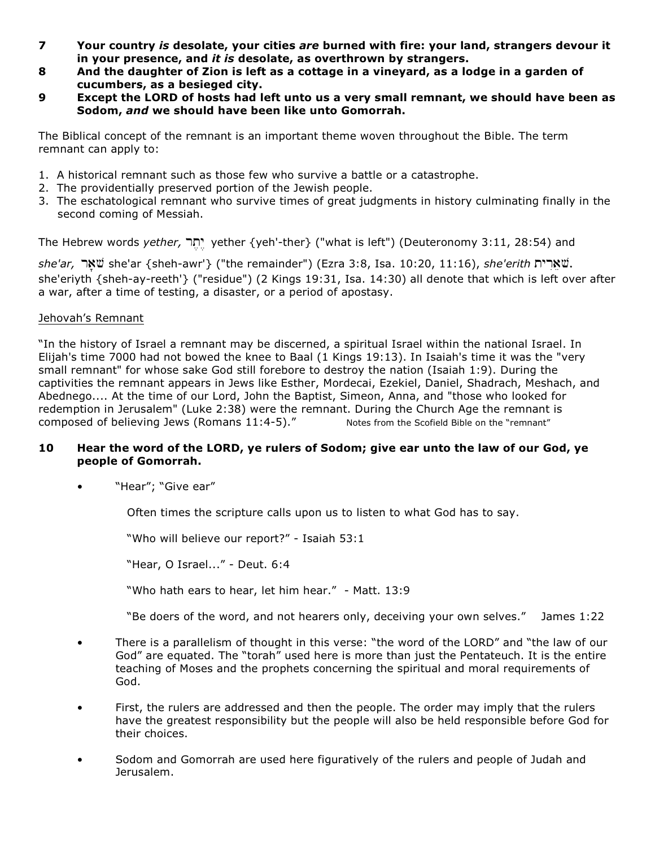- **7 Your country** *is* **desolate, your cities** *are* **burned with fire: your land, strangers devour it in your presence, and** *it is* **desolate, as overthrown by strangers.**
- **8 And the daughter of Zion is left as a cottage in a vineyard, as a lodge in a garden of cucumbers, as a besieged city.**
- **9 Except the LORD of hosts had left unto us a very small remnant, we should have been as Sodom,** *and* **we should have been like unto Gomorrah.**

The Biblical concept of the remnant is an important theme woven throughout the Bible. The term remnant can apply to:

- 1. A historical remnant such as those few who survive a battle or a catastrophe.
- 2. The providentially preserved portion of the Jewish people.
- 3. The eschatological remnant who survive times of great judgments in history culminating finally in the second coming of Messiah.

The Hebrew words *yether*, יתר *yether {yeh'-ther} ("what is left")* (Deuteronomy 3:11, 28:54) and

 $she'$ ar, שארית she'ar {sheh-awr'} ("the remainder") (Ezra 3:8, Isa. 10:20, 11:16), *she'erith* שארית she'eriyth {sheh-ay-reeth'} ("residue") (2 Kings 19:31, Isa. 14:30) all denote that which is left over after a war, after a time of testing, a disaster, or a period of apostasy.

# Jehovah's Remnant

"In the history of Israel a remnant may be discerned, a spiritual Israel within the national Israel. In Elijah's time 7000 had not bowed the knee to Baal (1 Kings 19:13). In Isaiah's time it was the "very small remnant" for whose sake God still forebore to destroy the nation (Isaiah 1:9). During the captivities the remnant appears in Jews like Esther, Mordecai, Ezekiel, Daniel, Shadrach, Meshach, and Abednego.... At the time of our Lord, John the Baptist, Simeon, Anna, and "those who looked for redemption in Jerusalem" (Luke 2:38) were the remnant. During the Church Age the remnant is composed of believing Jews (Romans 11:4-5)." Notes from the Scofield Bible on the "remnant"

# **10 Hear the word of the LORD, ye rulers of Sodom; give ear unto the law of our God, ye people of Gomorrah.**

• "Hear"; "Give ear"

Often times the scripture calls upon us to listen to what God has to say.

"Who will believe our report?" - Isaiah 53:1

"Hear, O Israel..." - Deut. 6:4

"Who hath ears to hear, let him hear." - Matt. 13:9

"Be doers of the word, and not hearers only, deceiving your own selves." James 1:22

- There is a parallelism of thought in this verse: "the word of the LORD" and "the law of our God" are equated. The "torah" used here is more than just the Pentateuch. It is the entire teaching of Moses and the prophets concerning the spiritual and moral requirements of God.
- First, the rulers are addressed and then the people. The order may imply that the rulers have the greatest responsibility but the people will also be held responsible before God for their choices.
- Sodom and Gomorrah are used here figuratively of the rulers and people of Judah and Jerusalem.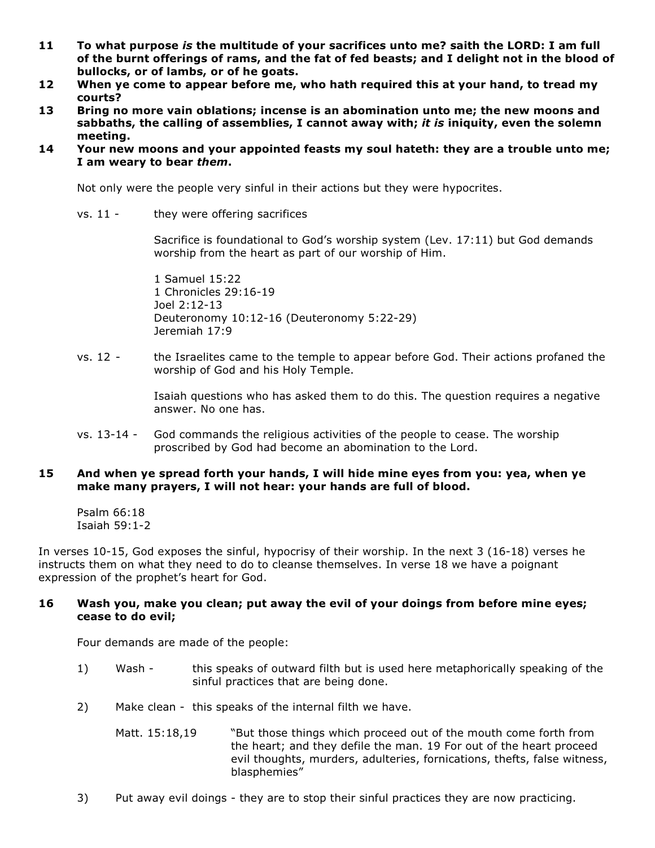- **11 To what purpose** *is* **the multitude of your sacrifices unto me? saith the LORD: I am full of the burnt offerings of rams, and the fat of fed beasts; and I delight not in the blood of bullocks, or of lambs, or of he goats.**
- **12 When ye come to appear before me, who hath required this at your hand, to tread my courts?**
- **13 Bring no more vain oblations; incense is an abomination unto me; the new moons and sabbaths, the calling of assemblies, I cannot away with;** *it is* **iniquity, even the solemn meeting.**
- **14 Your new moons and your appointed feasts my soul hateth: they are a trouble unto me; I am weary to bear** *them***.**

Not only were the people very sinful in their actions but they were hypocrites.

vs. 11 - they were offering sacrifices

Sacrifice is foundational to God's worship system (Lev. 17:11) but God demands worship from the heart as part of our worship of Him.

1 Samuel 15:22 1 Chronicles 29:16-19 Joel 2:12-13 Deuteronomy 10:12-16 (Deuteronomy 5:22-29) Jeremiah 17:9

vs. 12 - the Israelites came to the temple to appear before God. Their actions profaned the worship of God and his Holy Temple.

> Isaiah questions who has asked them to do this. The question requires a negative answer. No one has.

vs. 13-14 - God commands the religious activities of the people to cease. The worship proscribed by God had become an abomination to the Lord.

# **15 And when ye spread forth your hands, I will hide mine eyes from you: yea, when ye make many prayers, I will not hear: your hands are full of blood.**

Psalm 66:18 Isaiah 59:1-2

In verses 10-15, God exposes the sinful, hypocrisy of their worship. In the next 3 (16-18) verses he instructs them on what they need to do to cleanse themselves. In verse 18 we have a poignant expression of the prophet's heart for God.

## **16 Wash you, make you clean; put away the evil of your doings from before mine eyes; cease to do evil;**

Four demands are made of the people:

- 1) Wash this speaks of outward filth but is used here metaphorically speaking of the sinful practices that are being done.
- 2) Make clean this speaks of the internal filth we have.
	- Matt. 15:18,19 "But those things which proceed out of the mouth come forth from the heart; and they defile the man. 19 For out of the heart proceed evil thoughts, murders, adulteries, fornications, thefts, false witness, blasphemies"
- 3) Put away evil doings they are to stop their sinful practices they are now practicing.